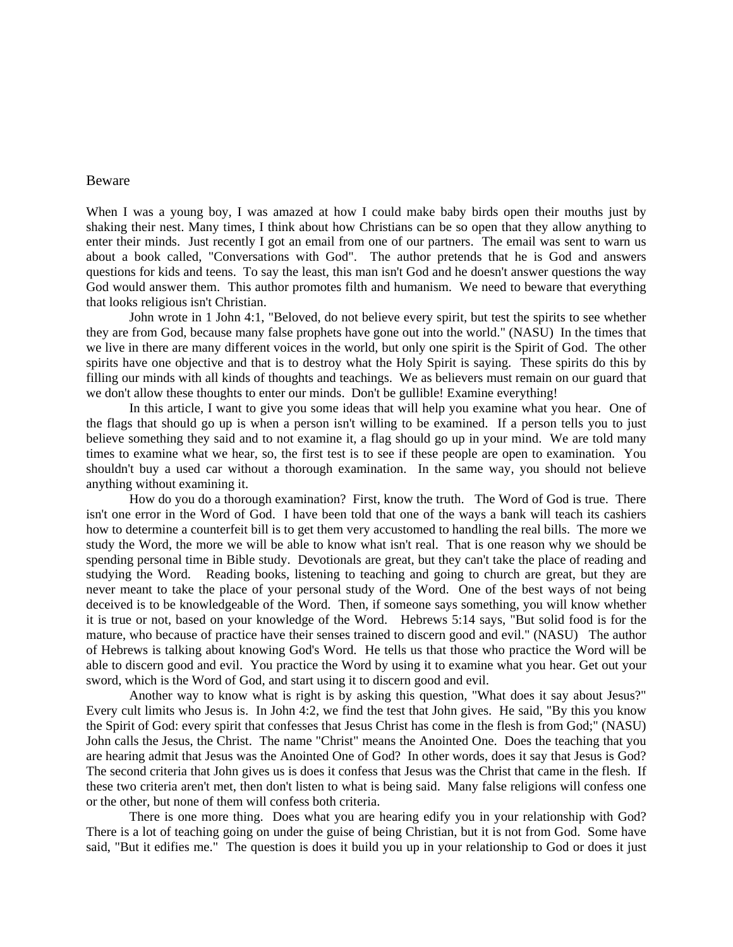## Beware

When I was a young boy, I was amazed at how I could make baby birds open their mouths just by shaking their nest. Many times, I think about how Christians can be so open that they allow anything to enter their minds. Just recently I got an email from one of our partners. The email was sent to warn us about a book called, "Conversations with God". The author pretends that he is God and answers questions for kids and teens. To say the least, this man isn't God and he doesn't answer questions the way God would answer them. This author promotes filth and humanism. We need to beware that everything that looks religious isn't Christian.

 John wrote in 1 John 4:1, "Beloved, do not believe every spirit, but test the spirits to see whether they are from God, because many false prophets have gone out into the world." (NASU) In the times that we live in there are many different voices in the world, but only one spirit is the Spirit of God. The other spirits have one objective and that is to destroy what the Holy Spirit is saying. These spirits do this by filling our minds with all kinds of thoughts and teachings. We as believers must remain on our guard that we don't allow these thoughts to enter our minds. Don't be gullible! Examine everything!

 In this article, I want to give you some ideas that will help you examine what you hear. One of the flags that should go up is when a person isn't willing to be examined. If a person tells you to just believe something they said and to not examine it, a flag should go up in your mind. We are told many times to examine what we hear, so, the first test is to see if these people are open to examination. You shouldn't buy a used car without a thorough examination. In the same way, you should not believe anything without examining it.

 How do you do a thorough examination? First, know the truth. The Word of God is true. There isn't one error in the Word of God. I have been told that one of the ways a bank will teach its cashiers how to determine a counterfeit bill is to get them very accustomed to handling the real bills. The more we study the Word, the more we will be able to know what isn't real. That is one reason why we should be spending personal time in Bible study. Devotionals are great, but they can't take the place of reading and studying the Word. Reading books, listening to teaching and going to church are great, but they are never meant to take the place of your personal study of the Word. One of the best ways of not being deceived is to be knowledgeable of the Word. Then, if someone says something, you will know whether it is true or not, based on your knowledge of the Word. Hebrews 5:14 says, "But solid food is for the mature, who because of practice have their senses trained to discern good and evil." (NASU) The author of Hebrews is talking about knowing God's Word. He tells us that those who practice the Word will be able to discern good and evil. You practice the Word by using it to examine what you hear. Get out your sword, which is the Word of God, and start using it to discern good and evil.

 Another way to know what is right is by asking this question, "What does it say about Jesus?" Every cult limits who Jesus is. In John 4:2, we find the test that John gives. He said, "By this you know the Spirit of God: every spirit that confesses that Jesus Christ has come in the flesh is from God;" (NASU) John calls the Jesus, the Christ. The name "Christ" means the Anointed One. Does the teaching that you are hearing admit that Jesus was the Anointed One of God? In other words, does it say that Jesus is God? The second criteria that John gives us is does it confess that Jesus was the Christ that came in the flesh. If these two criteria aren't met, then don't listen to what is being said. Many false religions will confess one or the other, but none of them will confess both criteria.

 There is one more thing. Does what you are hearing edify you in your relationship with God? There is a lot of teaching going on under the guise of being Christian, but it is not from God. Some have said, "But it edifies me." The question is does it build you up in your relationship to God or does it just